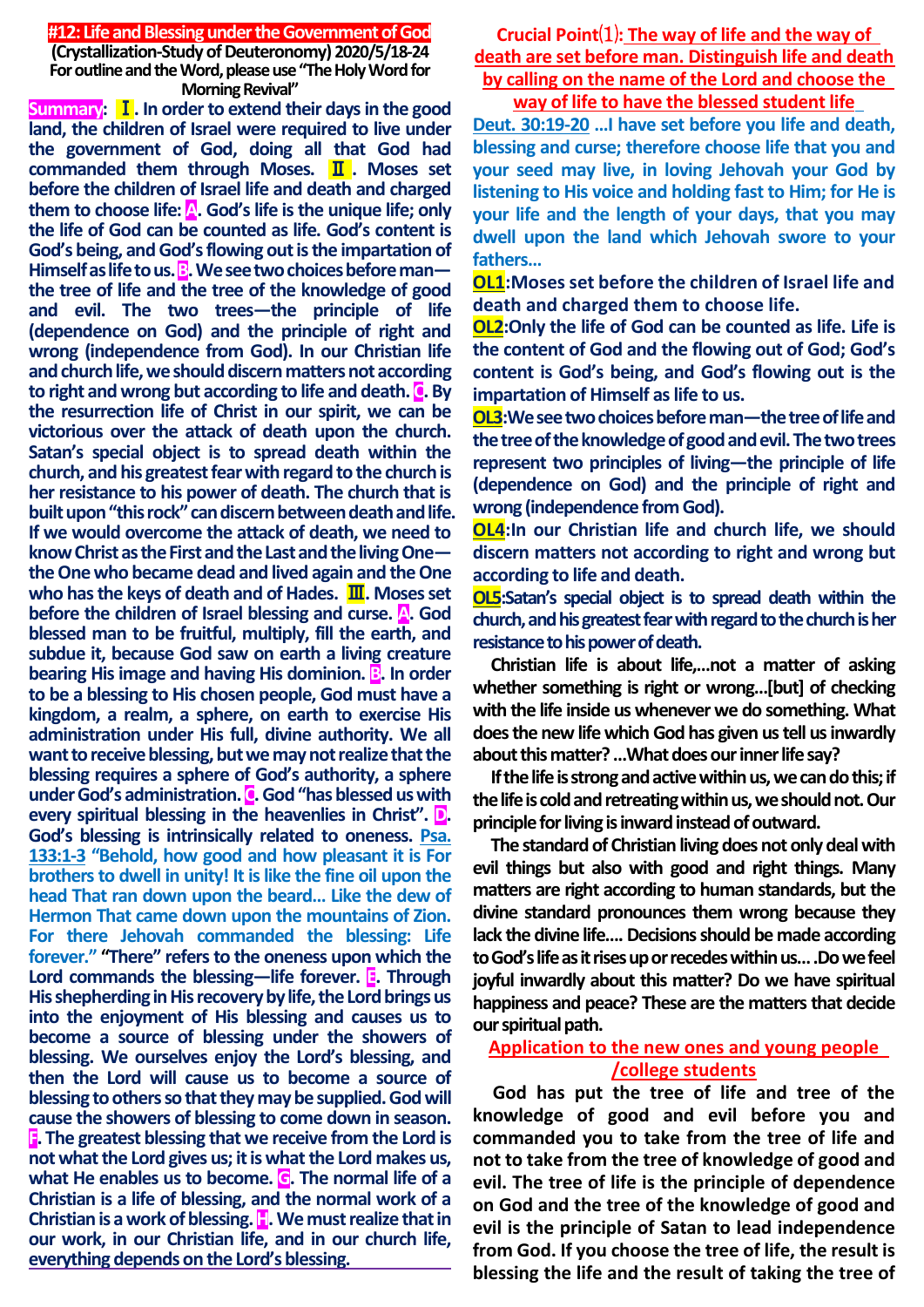#### **#12: Life and Blessing under the Government of God**

**(Crystallization-Study of Deuteronomy) 2020/5/18-24 For outline and the Word, please use "The Holy Word for Morning Revival"**

**Summary:** Ⅰ**. In order to extend their days in the good land, the children of Israel were required to live under the government of God, doing all that God had commanded them through Moses.** Ⅱ **. Moses set before the children of Israel life and death and charged them to choose life: A. God's life is the unique life; only the life of God can be counted as life. God's content is God's being, and God's flowing out is the impartation of**  Himself as life to us. **B**. We see two choices before man**the tree of life and the tree of the knowledge of good and evil. The two trees—the principle of life (dependence on God) and the principle of right and wrong (independence from God). In our Christian life and church life, we should discern matters not according to right and wrong but according to life and death. C. By the resurrection life of Christ in our spirit, we can be victorious over the attack of death upon the church. Satan's special object is to spread death within the church, and his greatest fear with regard to the church is her resistance to his power of death. The church that is built upon "this rock" can discern between death and life. If we would overcome the attack of death, we need to know Christ as the First and the Last and the living One the One who became dead and lived again and the One who has the keys of death and of Hades.** Ⅲ**. Moses set before the children of Israel blessing and curse. A. God blessed man to be fruitful, multiply, fill the earth, and subdue it, because God saw on earth a living creature bearing His image and having His dominion. B. In order to be a blessing to His chosen people, God must have a kingdom, a realm, a sphere, on earth to exercise His administration under His full, divine authority. We all want to receive blessing, but we may not realize that the blessing requires a sphere of God's authority, a sphere under God's administration. C. God "has blessed us with every spiritual blessing in the heavenlies in Christ". D. God's blessing is intrinsically related to oneness. Psa. 133:1-3 "Behold, how good and how pleasant it is For brothers to dwell in unity! It is like the fine oil upon the head That ran down upon the beard… Like the dew of Hermon That came down upon the mountains of Zion. For there Jehovah commanded the blessing: Life forever." "There" refers to the oneness upon which the Lord commands the blessing—life forever. E. Through His shepherding in His recovery by life, the Lord brings us into the enjoyment of His blessing and causes us to become a source of blessing under the showers of blessing. We ourselves enjoy the Lord's blessing, and then the Lord will cause us to become a source of blessing to others so that they may be supplied. God will cause the showers of blessing to come down in season. F. The greatest blessing that we receive from the Lord is not what the Lord gives us; it is what the Lord makes us, what He enables us to become. G. The normal life of a Christian is a life of blessing, and the normal work of a Christian is a work of blessing. H. We must realize that in our work, in our Christian life, and in our church life, everything depends on the Lord's blessing.** 

# **Crucial Point**⑴**: The way of life and the way of death are set before man. Distinguish life and death by calling on the name of the Lord and choose the way of life to have the blessed student life**

**Deut. 30:19-20 …I have set before you life and death, blessing and curse; therefore choose life that you and your seed may live, in loving Jehovah your God by listening to His voice and holding fast to Him; for He is your life and the length of your days, that you may dwell upon the land which Jehovah swore to your fathers…**

**OL1:Moses set before the children of Israel life and death and charged them to choose life.**

**OL2:Only the life of God can be counted as life. Life is the content of God and the flowing out of God; God's content is God's being, and God's flowing out is the impartation of Himself as life to us.**

**OL3:We see two choices before man—the tree of life and the tree of the knowledge of good and evil. The two trees represent two principles of living—the principle of life (dependence on God) and the principle of right and wrong (independence from God).**

**OL4:In our Christian life and church life, we should discern matters not according to right and wrong but according to life and death.**

**OL5:Satan's special object is to spread death within the church, and his greatest fear with regard to the church is her resistance to his power of death.**

**Christian life is about life,…not a matter of asking whether something is right or wrong…[but] of checking with the life inside us whenever we do something. What does the new life which God has given us tell us inwardly about thismatter?…What does our inner life say?**

**If the life is strong and active within us,we can do this; if the life is cold and retreating within us, we should not. Our principle for living is inward instead of outward.** 

**The standard of Christian living does not only deal with evil things but also with good and right things. Many matters are right according to human standards, but the divine standard pronounces them wrong because they lack the divine life…. Decisions should be made according to God's life as it rises up or recedes within us….Do we feel joyful inwardly about this matter? Do we have spiritual happiness and peace? These are the matters that decide our spiritual path.**

# **Application to the new ones and young people /college students**

**God has put the tree of life and tree of the knowledge of good and evil before you and commanded you to take from the tree of life and not to take from the tree of knowledge of good and evil. The tree of life is the principle of dependence on God and the tree of the knowledge of good and evil is the principle of Satan to lead independence from God. If you choose the tree of life, the result is blessing the life and the result of taking the tree of**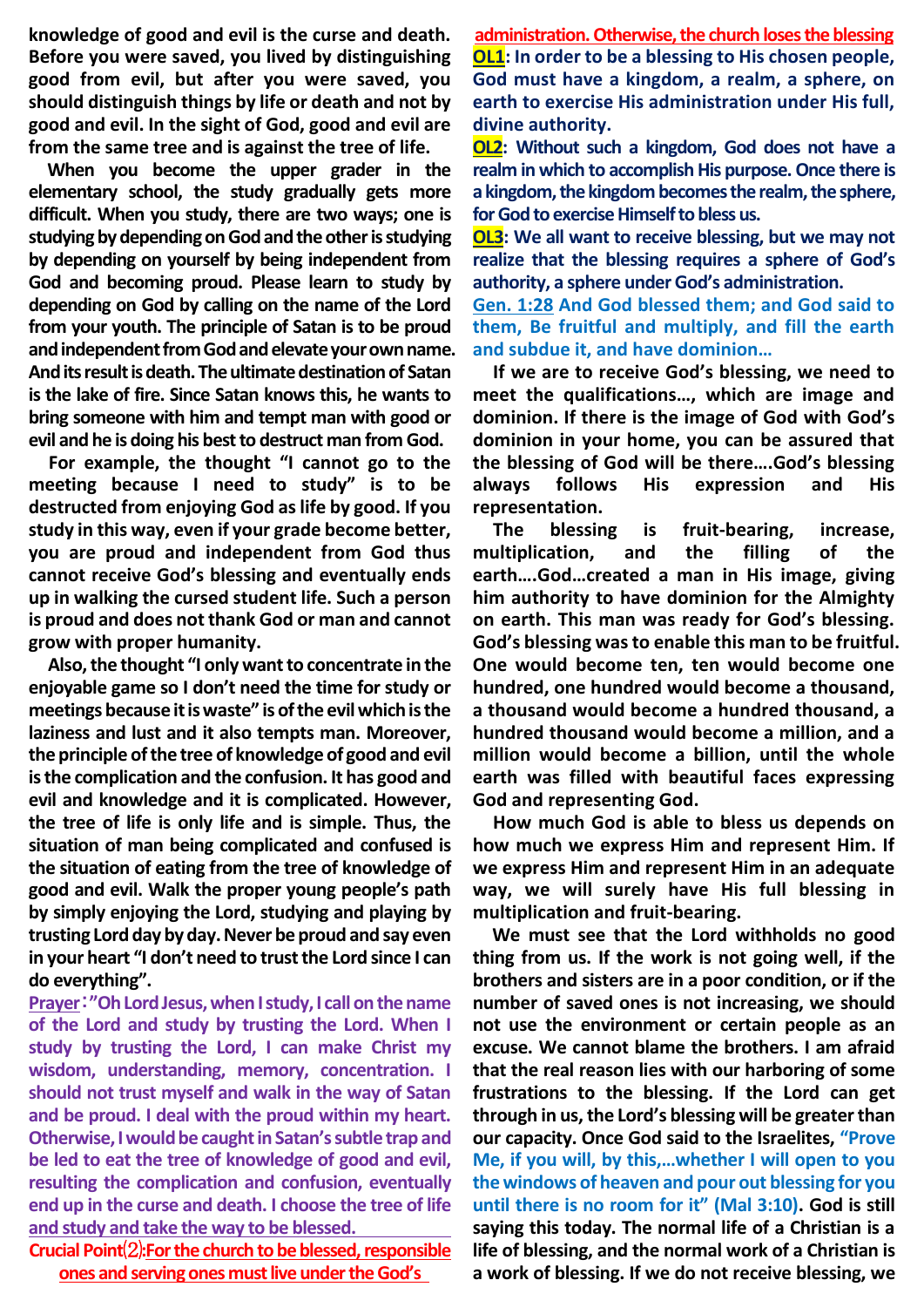**knowledge of good and evil is the curse and death. Before you were saved, you lived by distinguishing good from evil, but after you were saved, you should distinguish things by life or death and not by good and evil. In the sight of God, good and evil are from the same tree and is against the tree of life.**

**When you become the upper grader in the elementary school, the study gradually gets more difficult. When you study, there are two ways; one is studying by depending on God and the other is studying by depending on yourself by being independent from God and becoming proud. Please learn to study by depending on God by calling on the name of the Lord from your youth. The principle of Satan is to be proud and independent from God and elevate your own name. And itsresult is death. The ultimate destinationof Satan is the lake of fire. Since Satan knows this, he wants to bring someone with him and tempt man with good or evil and he is doing his best to destruct man from God.**

**For example, the thought "I cannot go to the meeting because I need to study" is to be destructed from enjoying God as life by good. If you study in this way, even if your grade become better, you are proud and independent from God thus cannot receive God's blessing and eventually ends up in walking the cursed student life. Such a person is proud and does not thank God or man and cannot grow with proper humanity.** 

**Also, the thought "I only want to concentrate in the enjoyable game so I don't need the time for study or meetings because it is waste" is of the evil which is the laziness and lust and it also tempts man. Moreover, the principle of the tree of knowledge of good and evil is the complication and the confusion. It has good and evil and knowledge and it is complicated. However, the tree of life is only life and is simple. Thus, the situation of man being complicated and confused is the situation of eating from the tree of knowledge of good and evil. Walk the proper young people's path by simply enjoying the Lord, studying and playing by trusting Lord day by day. Never be proud and say even in your heart "I don't need to trust the Lord since I can do everything".**

**Prayer**:**"Oh Lord Jesus, when I study, I call on the name of the Lord and study by trusting the Lord. When I study by trusting the Lord, I can make Christ my wisdom, understanding, memory, concentration. I should not trust myself and walk in the way of Satan and be proud. I deal with the proud within my heart. Otherwise, I would be caught in Satan's subtle trap and be led to eat the tree of knowledge of good and evil, resulting the complication and confusion, eventually end up in the curse and death. I choose the tree of life and study and take the way to be blessed.** 

**Crucial Point**⑵**:For the church to be blessed, responsible ones and serving ones must live under the God's** 

**administration. Otherwise, the church loses the blessing OL1: In order to be a blessing to His chosen people, God must have a kingdom, a realm, a sphere, on earth to exercise His administration under His full, divine authority.**

**OL2: Without such a kingdom, God does not have a realm in which to accomplish His purpose.Once there is a kingdom, the kingdom becomes the realm, the sphere, for God to exercise Himself to bless us.** 

**OL3: We all want to receive blessing, but we may not realize that the blessing requires a sphere of God's authority, a sphere under God's administration.**

**Gen. 1:28 And God blessed them; and God said to them, Be fruitful and multiply, and fill the earth and subdue it, and have dominion…**

**If we are to receive God's blessing, we need to meet the qualifications…, which are image and dominion. If there is the image of God with God's dominion in your home, you can be assured that the blessing of God will be there….God's blessing always follows His expression and His representation.**

**The blessing is fruit-bearing, increase, multiplication, and the filling of the earth….God…created a man in His image, giving him authority to have dominion for the Almighty on earth. This man was ready for God's blessing. God's blessing was to enable this man to be fruitful. One would become ten, ten would become one hundred, one hundred would become a thousand, a thousand would become a hundred thousand, a hundred thousand would become a million, and a million would become a billion, until the whole earth was filled with beautiful faces expressing God and representing God.**

**How much God is able to bless us depends on how much we express Him and represent Him. If we express Him and represent Him in an adequate way, we will surely have His full blessing in multiplication and fruit-bearing.**

**We must see that the Lord withholds no good thing from us. If the work is not going well, if the brothers and sisters are in a poor condition, or if the number of saved ones is not increasing, we should not use the environment or certain people as an excuse. We cannot blame the brothers. I am afraid that the real reason lies with our harboring of some frustrations to the blessing. If the Lord can get through in us, the Lord's blessing will be greater than our capacity. Once God said to the Israelites, "Prove Me, if you will, by this,…whether I will open to you the windows of heaven and pour out blessing for you until there is no room for it" (Mal 3:10). God is still saying this today. The normal life of a Christian is a life of blessing, and the normal work of a Christian is a work of blessing. If we do not receive blessing, we**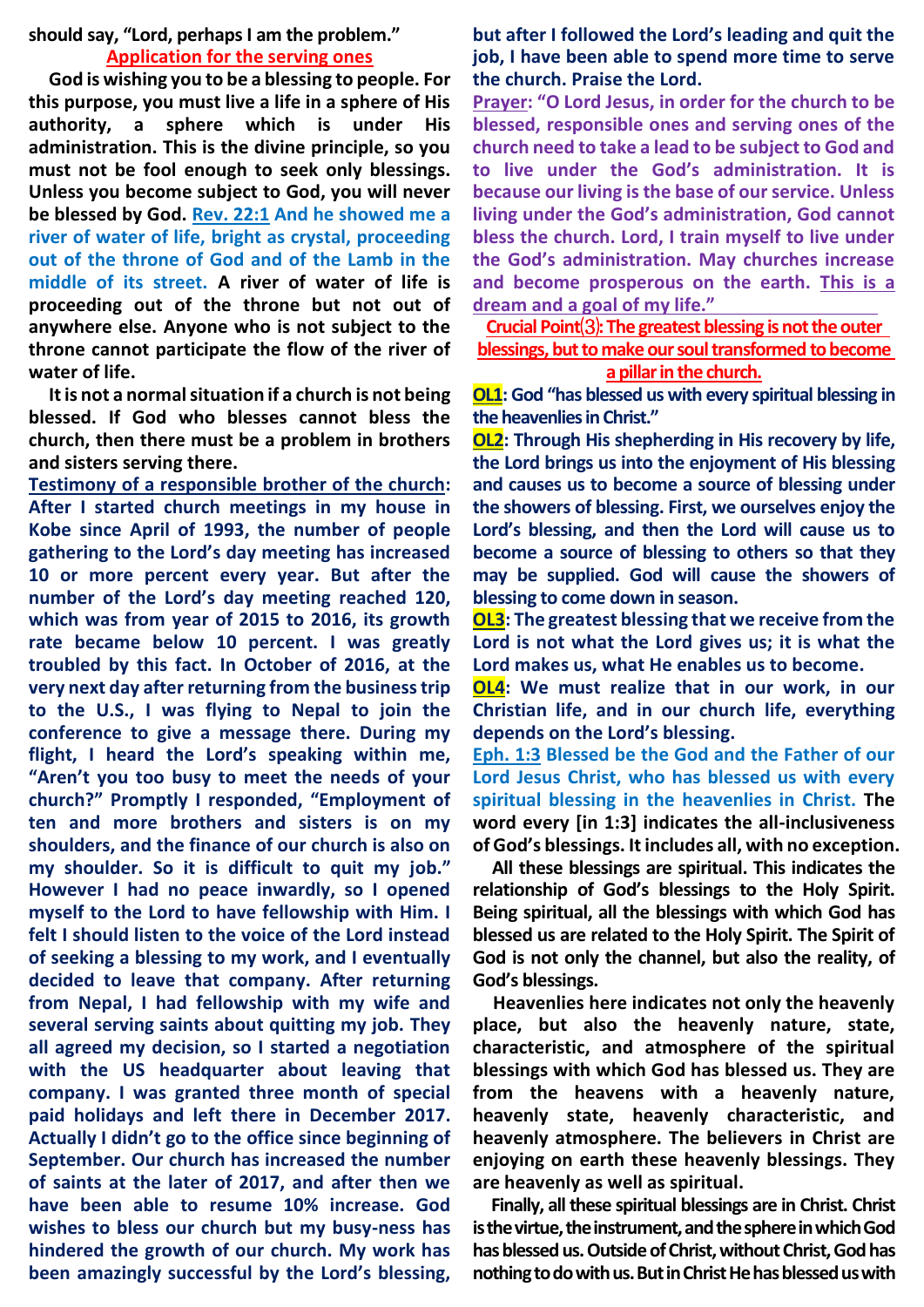**should say, "Lord, perhaps I am the problem." Application for the serving ones**

**God is wishing you to be a blessing to people. For this purpose, you must live a life in a sphere of His authority, a sphere which is under His administration. This is the divine principle, so you must not be fool enough to seek only blessings. Unless you become subject to God, you will never be blessed by God. Rev. 22:1 And he showed me a river of water of life, bright as crystal, proceeding out of the throne of God and of the Lamb in the middle of its street. A river of water of life is proceeding out of the throne but not out of anywhere else. Anyone who is not subject to the throne cannot participate the flow of the river of water of life.**

**It is not a normal situation if a church is not being blessed. If God who blesses cannot bless the church, then there must be a problem in brothers and sisters serving there.**

**Testimony of a responsible brother of the church: After I started church meetings in my house in Kobe since April of 1993, the number of people gathering to the Lord's day meeting has increased 10 or more percent every year. But after the number of the Lord's day meeting reached 120, which was from year of 2015 to 2016, its growth rate became below 10 percent. I was greatly troubled by this fact. In October of 2016, at the very next day after returning from the business trip to the U.S., I was flying to Nepal to join the conference to give a message there. During my flight, I heard the Lord's speaking within me, "Aren't you too busy to meet the needs of your church?" Promptly I responded, "Employment of ten and more brothers and sisters is on my shoulders, and the finance of our church is also on my shoulder. So it is difficult to quit my job." However I had no peace inwardly, so I opened myself to the Lord to have fellowship with Him. I felt I should listen to the voice of the Lord instead of seeking a blessing to my work, and I eventually decided to leave that company. After returning from Nepal, I had fellowship with my wife and several serving saints about quitting my job. They all agreed my decision, so I started a negotiation with the US headquarter about leaving that company. I was granted three month of special paid holidays and left there in December 2017. Actually I didn't go to the office since beginning of September. Our church has increased the number of saints at the later of 2017, and after then we have been able to resume 10% increase. God wishes to bless our church but my busy-ness has hindered the growth of our church. My work has been amazingly successful by the Lord's blessing,** 

### **but after I followed the Lord's leading and quit the job, I have been able to spend more time to serve the church. Praise the Lord.**

**Prayer: "O Lord Jesus, in order for the church to be blessed, responsible ones and serving ones of the church need to take a lead to be subject to God and to live under the God's administration. It is because our living is the base of our service. Unless living under the God's administration, God cannot bless the church. Lord, I train myself to live under the God's administration. May churches increase and become prosperous on the earth. This is a dream and a goal of my life."** 

**Crucial Point**⑶**: The greatest blessing is not the outer blessings, but to make our soul transformed tobecome a pillar in the church.**

**OL1: God "has blessed us with every spiritual blessing in the heavenlies in Christ."**

**OL2: Through His shepherding in His recovery by life, the Lord brings us into the enjoyment of His blessing and causes us to become a source of blessing under the showers of blessing. First, we ourselves enjoy the Lord's blessing, and then the Lord will cause us to become a source of blessing to others so that they may be supplied. God will cause the showers of blessing to come down in season.**

**OL3: The greatest blessing that we receive from the Lord is not what the Lord gives us; it is what the Lord makes us, what He enables us to become.**

**OL4: We must realize that in our work, in our Christian life, and in our church life, everything depends on the Lord's blessing.**

**Eph. 1:3 Blessed be the God and the Father of our Lord Jesus Christ, who has blessed us with every spiritual blessing in the heavenlies in Christ. The word every [in 1:3] indicates the all-inclusiveness of God's blessings. It includes all, with no exception.**

**All these blessings are spiritual. This indicates the relationship of God's blessings to the Holy Spirit. Being spiritual, all the blessings with which God has blessed us are related to the Holy Spirit. The Spirit of God is not only the channel, but also the reality, of God's blessings.**

**Heavenlies here indicates not only the heavenly place, but also the heavenly nature, state, characteristic, and atmosphere of the spiritual blessings with which God has blessed us. They are from the heavens with a heavenly nature, heavenly state, heavenly characteristic, and heavenly atmosphere. The believers in Christ are enjoying on earth these heavenly blessings. They are heavenly as well as spiritual.**

**Finally, all these spiritual blessings are in Christ. Christ is the virtue, theinstrument, and the sphere in which God**  has blessed us. Outside of Christ, without Christ, God has **nothing to do with us. But in Christ He has blessed uswith**